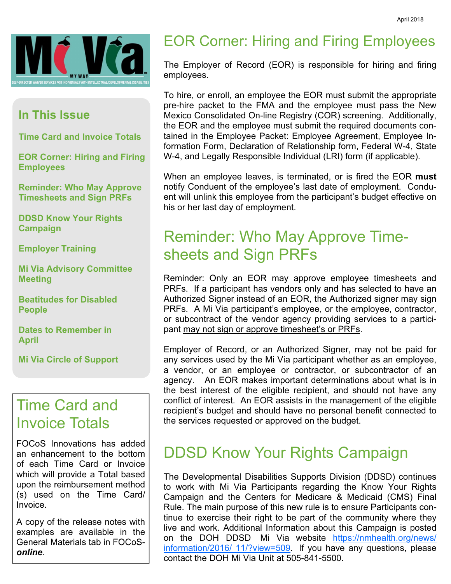

#### In This Issue

Time Card and Invoice Totals

EOR Corner: Hiring and Firing Employees

Reminder: Who May Approve Timesheets and Sign PRFs

DDSD Know Your Rights Campaign

Employer Training

Mi Via Advisory Committee **Meeting** 

Beatitudes for Disabled People

Dates to Remember in April

Mi Via Circle of Support

#### Time Card and Invoice Totals

FOCoS Innovations has added an enhancement to the bottom of each Time Card or Invoice which will provide a Total based upon the reimbursement method (s) used on the Time Card/ Invoice.

A copy of the release notes with examples are available in the General Materials tab in FOCoSonline.

#### EOR Corner: Hiring and Firing Employees

The Employer of Record (EOR) is responsible for hiring and firing employees.

To hire, or enroll, an employee the EOR must submit the appropriate pre-hire packet to the FMA and the employee must pass the New Mexico Consolidated On-line Registry (COR) screening. Additionally, the EOR and the employee must submit the required documents contained in the Employee Packet: Employee Agreement, Employee Information Form, Declaration of Relationship form, Federal W-4, State W-4, and Legally Responsible Individual (LRI) form (if applicable).

When an employee leaves, is terminated, or is fired the EOR must notify Conduent of the employee's last date of employment. Conduent will unlink this employee from the participant's budget effective on his or her last day of employment.

## Reminder: Who May Approve Timesheets and Sign PRFs

Reminder: Only an EOR may approve employee timesheets and PRFs. If a participant has vendors only and has selected to have an Authorized Signer instead of an EOR, the Authorized signer may sign PRFs. A Mi Via participant's employee, or the employee, contractor, or subcontract of the vendor agency providing services to a participant may not sign or approve timesheet's or PRFs.

Employer of Record, or an Authorized Signer, may not be paid for any services used by the Mi Via participant whether as an employee, a vendor, or an employee or contractor, or subcontractor of an agency. An EOR makes important determinations about what is in the best interest of the eligible recipient, and should not have any conflict of interest. An EOR assists in the management of the eligible recipient's budget and should have no personal benefit connected to the services requested or approved on the budget.

#### DDSD Know Your Rights Campaign

The Developmental Disabilities Supports Division (DDSD) continues to work with Mi Via Participants regarding the Know Your Rights Campaign and the Centers for Medicare & Medicaid (CMS) Final Rule. The main purpose of this new rule is to ensure Participants continue to exercise their right to be part of the community where they live and work. Additional Information about this Campaign is posted on the DOH DDSD Mi Via website https://nmhealth.org/news/ information/2016/ 11/?view=509. If you have any questions, please contact the DOH Mi Via Unit at 505-841-5500.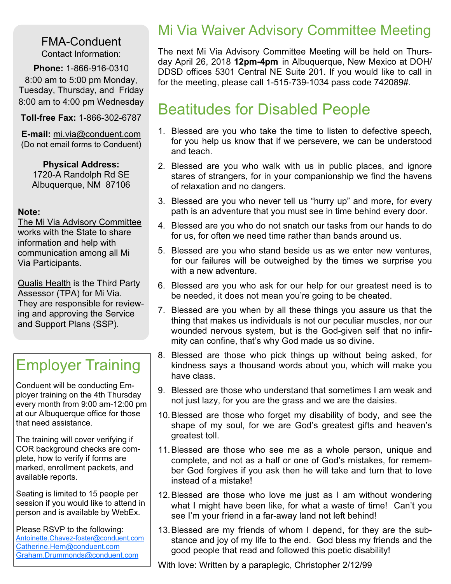FMA-Conduent Contact Information:

Phone: 1-866-916-0310 8:00 am to 5:00 pm Monday, Tuesday, Thursday, and Friday 8:00 am to 4:00 pm Wednesday

Toll-free Fax: 1-866-302-6787

E-mail: mi.via@conduent.com (Do not email forms to Conduent)

Physical Address: 1720-A Randolph Rd SE Albuquerque, NM 87106

#### Note:

The Mi Via Advisory Committee works with the State to share information and help with communication among all Mi Via Participants.

Qualis Health is the Third Party Assessor (TPA) for Mi Via. They are responsible for reviewing and approving the Service and Support Plans (SSP).

# Employer Training

Conduent will be conducting Employer training on the 4th Thursday every month from 9:00 am-12:00 pm at our Albuquerque office for those that need assistance.

The training will cover verifying if COR background checks are complete, how to verify if forms are marked, enrollment packets, and available reports.

Seating is limited to 15 people per session if you would like to attend in person and is available by WebEx.

Please RSVP to the following: Antoinette.Chavez-foster@conduent.com Catherine.Hern@conduent.com Graham.Drummonds@conduent.com

#### Mi Via Waiver Advisory Committee Meeting

The next Mi Via Advisory Committee Meeting will be held on Thursday April 26, 2018 12pm-4pm in Albuquerque, New Mexico at DOH/ DDSD offices 5301 Central NE Suite 201. If you would like to call in for the meeting, please call 1-515-739-1034 pass code 742089#.

## Beatitudes for Disabled People

- 1. Blessed are you who take the time to listen to defective speech, for you help us know that if we persevere, we can be understood and teach.
- 2. Blessed are you who walk with us in public places, and ignore stares of strangers, for in your companionship we find the havens of relaxation and no dangers.
- 3. Blessed are you who never tell us "hurry up" and more, for every path is an adventure that you must see in time behind every door.
- 4. Blessed are you who do not snatch our tasks from our hands to do for us, for often we need time rather than bands around us.
- 5. Blessed are you who stand beside us as we enter new ventures, for our failures will be outweighed by the times we surprise you with a new adventure.
- 6. Blessed are you who ask for our help for our greatest need is to be needed, it does not mean you're going to be cheated.
- 7. Blessed are you when by all these things you assure us that the thing that makes us individuals is not our peculiar muscles, nor our wounded nervous system, but is the God-given self that no infirmity can confine, that's why God made us so divine.
- 8. Blessed are those who pick things up without being asked, for kindness says a thousand words about you, which will make you have class.
- 9. Blessed are those who understand that sometimes I am weak and not just lazy, for you are the grass and we are the daisies.
- 10. Blessed are those who forget my disability of body, and see the shape of my soul, for we are God's greatest gifts and heaven's greatest toll.
- 11. Blessed are those who see me as a whole person, unique and complete, and not as a half or one of God's mistakes, for remember God forgives if you ask then he will take and turn that to love instead of a mistake!
- 12. Blessed are those who love me just as I am without wondering what I might have been like, for what a waste of time! Can't you see I'm your friend in a far-away land not left behind!
- 13. Blessed are my friends of whom I depend, for they are the substance and joy of my life to the end. God bless my friends and the good people that read and followed this poetic disability!
- With love: Written by a paraplegic, Christopher 2/12/99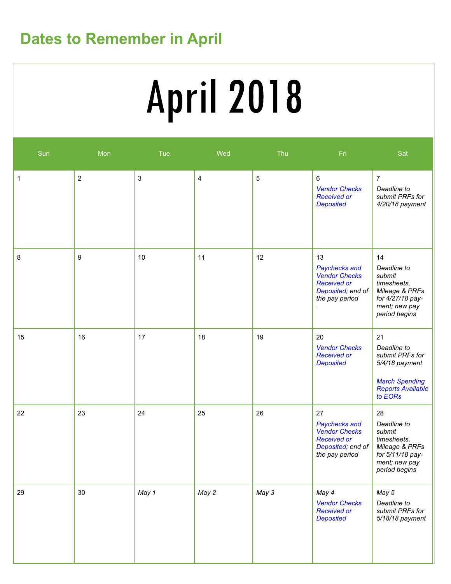# Dates to Remember in April

# **April 2018**

| Sun | Mon              | Tue            | Wed                     | Thu   | Fri                                                                                                      | Sat                                                                                                                    |
|-----|------------------|----------------|-------------------------|-------|----------------------------------------------------------------------------------------------------------|------------------------------------------------------------------------------------------------------------------------|
| 1   | $\overline{2}$   | $\mathfrak{S}$ | $\overline{\mathbf{4}}$ | 5     | 6<br><b>Vendor Checks</b><br><b>Received or</b><br><b>Deposited</b>                                      | $\overline{7}$<br>Deadline to<br>submit PRFs for<br>4/20/18 payment                                                    |
| 8   | $\boldsymbol{9}$ | $10$           | 11                      | 12    | 13<br>Paychecks and<br><b>Vendor Checks</b><br><b>Received or</b><br>Deposited; end of<br>the pay period | 14<br>Deadline to<br>submit<br>timesheets,<br>Mileage & PRFs<br>for 4/27/18 pay-<br>ment; new pay<br>period begins     |
| 15  | 16               | 17             | 18                      | 19    | 20<br><b>Vendor Checks</b><br><b>Received or</b><br><b>Deposited</b>                                     | 21<br>Deadline to<br>submit PRFs for<br>5/4/18 payment<br><b>March Spending</b><br><b>Reports Available</b><br>to EORs |
| 22  | 23               | 24             | 25                      | 26    | 27<br>Paychecks and<br><b>Vendor Checks</b><br><b>Received or</b><br>Deposited; end of<br>the pay period | 28<br>Deadline to<br>submit<br>timesheets,<br>Mileage & PRFs<br>for 5/11/18 pay-<br>ment; new pay<br>period begins     |
| 29  | 30               | May 1          | May 2                   | May 3 | May 4<br><b>Vendor Checks</b><br><b>Received or</b><br><b>Deposited</b>                                  | May 5<br>Deadline to<br>submit PRFs for<br>5/18/18 payment                                                             |